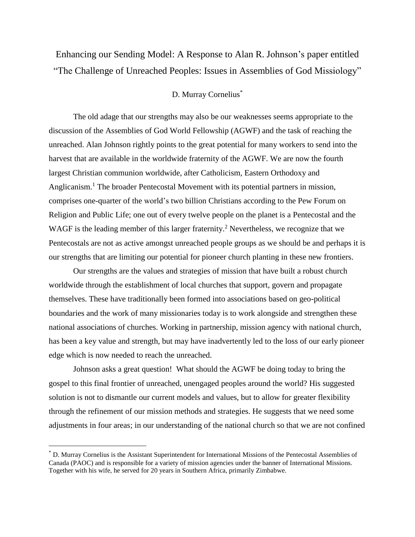Enhancing our Sending Model: A Response to Alan R. Johnson's paper entitled "The Challenge of Unreached Peoples: Issues in Assemblies of God Missiology"

## D. Murray Cornelius\*

The old adage that our strengths may also be our weaknesses seems appropriate to the discussion of the Assemblies of God World Fellowship (AGWF) and the task of reaching the unreached. Alan Johnson rightly points to the great potential for many workers to send into the harvest that are available in the worldwide fraternity of the AGWF. We are now the fourth largest Christian communion worldwide, after Catholicism, Eastern Orthodoxy and Anglicanism.<sup>1</sup> The broader Pentecostal Movement with its potential partners in mission, comprises one-quarter of the world's two billion Christians according to the Pew Forum on Religion and Public Life; one out of every twelve people on the planet is a Pentecostal and the WAGF is the leading member of this larger fraternity.<sup>2</sup> Nevertheless, we recognize that we Pentecostals are not as active amongst unreached people groups as we should be and perhaps it is our strengths that are limiting our potential for pioneer church planting in these new frontiers.

Our strengths are the values and strategies of mission that have built a robust church worldwide through the establishment of local churches that support, govern and propagate themselves. These have traditionally been formed into associations based on geo-political boundaries and the work of many missionaries today is to work alongside and strengthen these national associations of churches. Working in partnership, mission agency with national church, has been a key value and strength, but may have inadvertently led to the loss of our early pioneer edge which is now needed to reach the unreached.

Johnson asks a great question! What should the AGWF be doing today to bring the gospel to this final frontier of unreached, unengaged peoples around the world? His suggested solution is not to dismantle our current models and values, but to allow for greater flexibility through the refinement of our mission methods and strategies. He suggests that we need some adjustments in four areas; in our understanding of the national church so that we are not confined

 $\overline{a}$ 

<sup>\*</sup> D. Murray Cornelius is the Assistant Superintendent for International Missions of the Pentecostal Assemblies of Canada (PAOC) and is responsible for a variety of mission agencies under the banner of International Missions. Together with his wife, he served for 20 years in Southern Africa, primarily Zimbabwe.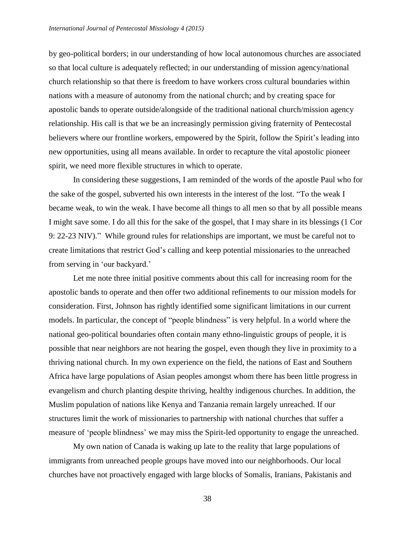by geo-political borders; in our understanding of how local autonomous churches are associated so that local culture is adequately reflected; in our understanding of mission agency/national church relationship so that there is freedom to have workers cross cultural boundaries within nations with a measure of autonomy from the national church; and by creating space for apostolic bands to operate outside/alongside of the traditional national church/mission agency relationship. His call is that we be an increasingly permission giving fraternity of Pentecostal believers where our frontline workers, empowered by the Spirit, follow the Spirit's leading into new opportunities, using all means available. In order to recapture the vital apostolic pioneer spirit, we need more flexible structures in which to operate.

In considering these suggestions, I am reminded of the words of the apostle Paul who for the sake of the gospel, subverted his own interests in the interest of the lost. "To the weak I became weak, to win the weak. I have become all things to all men so that by all possible means I might save some. I do all this for the sake of the gospel, that I may share in its blessings (1 Cor 9: 22-23 NIV)." While ground rules for relationships are important, we must be careful not to create limitations that restrict God's calling and keep potential missionaries to the unreached from serving in 'our backyard.'

Let me note three initial positive comments about this call for increasing room for the apostolic bands to operate and then offer two additional refinements to our mission models for consideration. First, Johnson has rightly identified some significant limitations in our current models. In particular, the concept of "people blindness" is very helpful. In a world where the national geo-political boundaries often contain many ethno-linguistic groups of people, it is possible that near neighbors are not hearing the gospel, even though they live in proximity to a thriving national church. In my own experience on the field, the nations of East and Southern Africa have large populations of Asian peoples amongst whom there has been little progress in evangelism and church planting despite thriving, healthy indigenous churches. In addition, the Muslim population of nations like Kenya and Tanzania remain largely unreached. If our structures limit the work of missionaries to partnership with national churches that suffer a measure of 'people blindness' we may miss the Spirit-led opportunity to engage the unreached.

My own nation of Canada is waking up late to the reality that large populations of immigrants from unreached people groups have moved into our neighborhoods. Our local churches have not proactively engaged with large blocks of Somalis, Iranians, Pakistanis and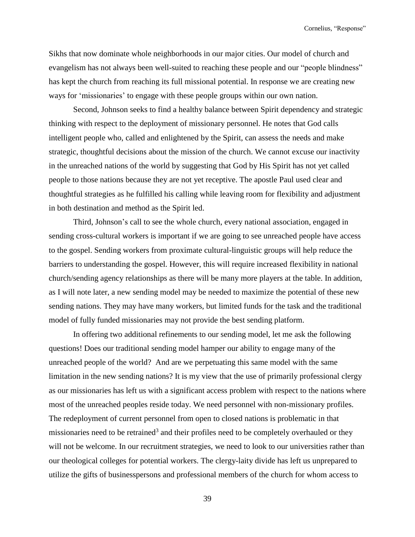Sikhs that now dominate whole neighborhoods in our major cities. Our model of church and evangelism has not always been well-suited to reaching these people and our "people blindness" has kept the church from reaching its full missional potential. In response we are creating new ways for 'missionaries' to engage with these people groups within our own nation.

Second, Johnson seeks to find a healthy balance between Spirit dependency and strategic thinking with respect to the deployment of missionary personnel. He notes that God calls intelligent people who, called and enlightened by the Spirit, can assess the needs and make strategic, thoughtful decisions about the mission of the church. We cannot excuse our inactivity in the unreached nations of the world by suggesting that God by His Spirit has not yet called people to those nations because they are not yet receptive. The apostle Paul used clear and thoughtful strategies as he fulfilled his calling while leaving room for flexibility and adjustment in both destination and method as the Spirit led.

Third, Johnson's call to see the whole church, every national association, engaged in sending cross-cultural workers is important if we are going to see unreached people have access to the gospel. Sending workers from proximate cultural-linguistic groups will help reduce the barriers to understanding the gospel. However, this will require increased flexibility in national church/sending agency relationships as there will be many more players at the table. In addition, as I will note later, a new sending model may be needed to maximize the potential of these new sending nations. They may have many workers, but limited funds for the task and the traditional model of fully funded missionaries may not provide the best sending platform.

In offering two additional refinements to our sending model, let me ask the following questions! Does our traditional sending model hamper our ability to engage many of the unreached people of the world? And are we perpetuating this same model with the same limitation in the new sending nations? It is my view that the use of primarily professional clergy as our missionaries has left us with a significant access problem with respect to the nations where most of the unreached peoples reside today. We need personnel with non-missionary profiles. The redeployment of current personnel from open to closed nations is problematic in that missionaries need to be retrained<sup>3</sup> and their profiles need to be completely overhauled or they will not be welcome. In our recruitment strategies, we need to look to our universities rather than our theological colleges for potential workers. The clergy-laity divide has left us unprepared to utilize the gifts of businesspersons and professional members of the church for whom access to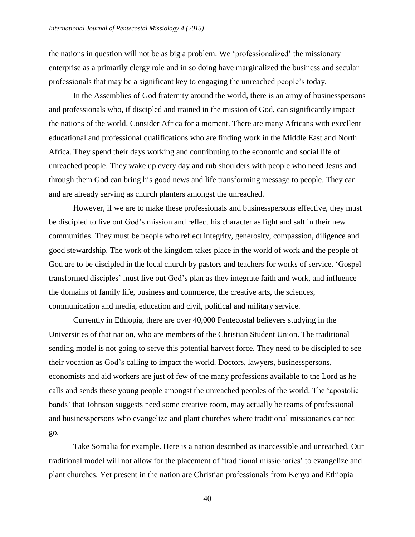the nations in question will not be as big a problem. We 'professionalized' the missionary enterprise as a primarily clergy role and in so doing have marginalized the business and secular professionals that may be a significant key to engaging the unreached people's today.

In the Assemblies of God fraternity around the world, there is an army of businesspersons and professionals who, if discipled and trained in the mission of God, can significantly impact the nations of the world. Consider Africa for a moment. There are many Africans with excellent educational and professional qualifications who are finding work in the Middle East and North Africa. They spend their days working and contributing to the economic and social life of unreached people. They wake up every day and rub shoulders with people who need Jesus and through them God can bring his good news and life transforming message to people. They can and are already serving as church planters amongst the unreached.

However, if we are to make these professionals and businesspersons effective, they must be discipled to live out God's mission and reflect his character as light and salt in their new communities. They must be people who reflect integrity, generosity, compassion, diligence and good stewardship. The work of the kingdom takes place in the world of work and the people of God are to be discipled in the local church by pastors and teachers for works of service. 'Gospel transformed disciples' must live out God's plan as they integrate faith and work, and influence the domains of family life, business and commerce, the creative arts, the sciences, communication and media, education and civil, political and military service.

Currently in Ethiopia, there are over 40,000 Pentecostal believers studying in the Universities of that nation, who are members of the Christian Student Union. The traditional sending model is not going to serve this potential harvest force. They need to be discipled to see their vocation as God's calling to impact the world. Doctors, lawyers, businesspersons, economists and aid workers are just of few of the many professions available to the Lord as he calls and sends these young people amongst the unreached peoples of the world. The 'apostolic bands' that Johnson suggests need some creative room, may actually be teams of professional and businesspersons who evangelize and plant churches where traditional missionaries cannot go.

Take Somalia for example. Here is a nation described as inaccessible and unreached. Our traditional model will not allow for the placement of 'traditional missionaries' to evangelize and plant churches. Yet present in the nation are Christian professionals from Kenya and Ethiopia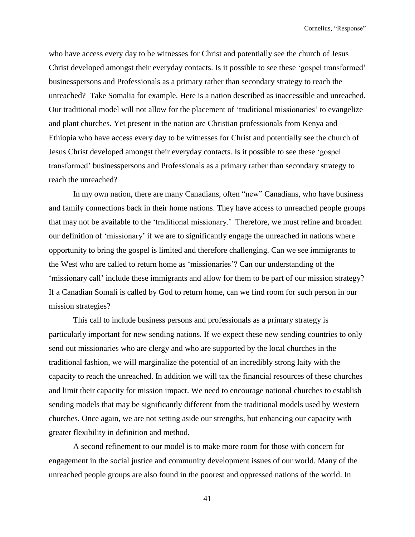who have access every day to be witnesses for Christ and potentially see the church of Jesus Christ developed amongst their everyday contacts. Is it possible to see these 'gospel transformed' businesspersons and Professionals as a primary rather than secondary strategy to reach the unreached? Take Somalia for example. Here is a nation described as inaccessible and unreached. Our traditional model will not allow for the placement of 'traditional missionaries' to evangelize and plant churches. Yet present in the nation are Christian professionals from Kenya and Ethiopia who have access every day to be witnesses for Christ and potentially see the church of Jesus Christ developed amongst their everyday contacts. Is it possible to see these 'gospel transformed' businesspersons and Professionals as a primary rather than secondary strategy to reach the unreached?

In my own nation, there are many Canadians, often "new" Canadians, who have business and family connections back in their home nations. They have access to unreached people groups that may not be available to the 'traditional missionary.' Therefore, we must refine and broaden our definition of 'missionary' if we are to significantly engage the unreached in nations where opportunity to bring the gospel is limited and therefore challenging. Can we see immigrants to the West who are called to return home as 'missionaries'? Can our understanding of the 'missionary call' include these immigrants and allow for them to be part of our mission strategy? If a Canadian Somali is called by God to return home, can we find room for such person in our mission strategies?

This call to include business persons and professionals as a primary strategy is particularly important for new sending nations. If we expect these new sending countries to only send out missionaries who are clergy and who are supported by the local churches in the traditional fashion, we will marginalize the potential of an incredibly strong laity with the capacity to reach the unreached. In addition we will tax the financial resources of these churches and limit their capacity for mission impact. We need to encourage national churches to establish sending models that may be significantly different from the traditional models used by Western churches. Once again, we are not setting aside our strengths, but enhancing our capacity with greater flexibility in definition and method.

A second refinement to our model is to make more room for those with concern for engagement in the social justice and community development issues of our world. Many of the unreached people groups are also found in the poorest and oppressed nations of the world. In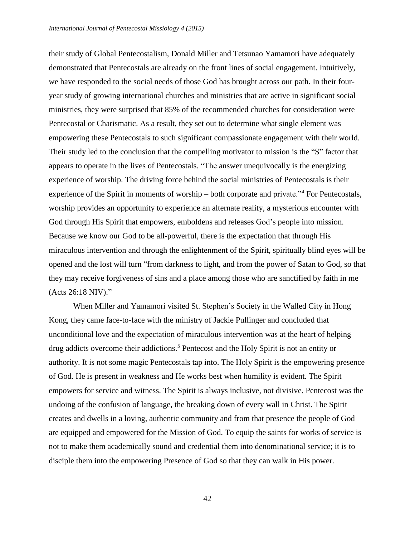their study of Global Pentecostalism, Donald Miller and Tetsunao Yamamori have adequately demonstrated that Pentecostals are already on the front lines of social engagement. Intuitively, we have responded to the social needs of those God has brought across our path. In their fouryear study of growing international churches and ministries that are active in significant social ministries, they were surprised that 85% of the recommended churches for consideration were Pentecostal or Charismatic. As a result, they set out to determine what single element was empowering these Pentecostals to such significant compassionate engagement with their world. Their study led to the conclusion that the compelling motivator to mission is the "S" factor that appears to operate in the lives of Pentecostals. "The answer unequivocally is the energizing experience of worship. The driving force behind the social ministries of Pentecostals is their experience of the Spirit in moments of worship – both corporate and private."<sup>4</sup> For Pentecostals, worship provides an opportunity to experience an alternate reality, a mysterious encounter with God through His Spirit that empowers, emboldens and releases God's people into mission. Because we know our God to be all-powerful, there is the expectation that through His miraculous intervention and through the enlightenment of the Spirit, spiritually blind eyes will be opened and the lost will turn "from darkness to light, and from the power of Satan to God, so that they may receive forgiveness of sins and a place among those who are sanctified by faith in me (Acts 26:18 NIV)."

When Miller and Yamamori visited St. Stephen's Society in the Walled City in Hong Kong, they came face-to-face with the ministry of Jackie Pullinger and concluded that unconditional love and the expectation of miraculous intervention was at the heart of helping drug addicts overcome their addictions.<sup>5</sup> Pentecost and the Holy Spirit is not an entity or authority. It is not some magic Pentecostals tap into. The Holy Spirit is the empowering presence of God. He is present in weakness and He works best when humility is evident. The Spirit empowers for service and witness. The Spirit is always inclusive, not divisive. Pentecost was the undoing of the confusion of language, the breaking down of every wall in Christ. The Spirit creates and dwells in a loving, authentic community and from that presence the people of God are equipped and empowered for the Mission of God. To equip the saints for works of service is not to make them academically sound and credential them into denominational service; it is to disciple them into the empowering Presence of God so that they can walk in His power.